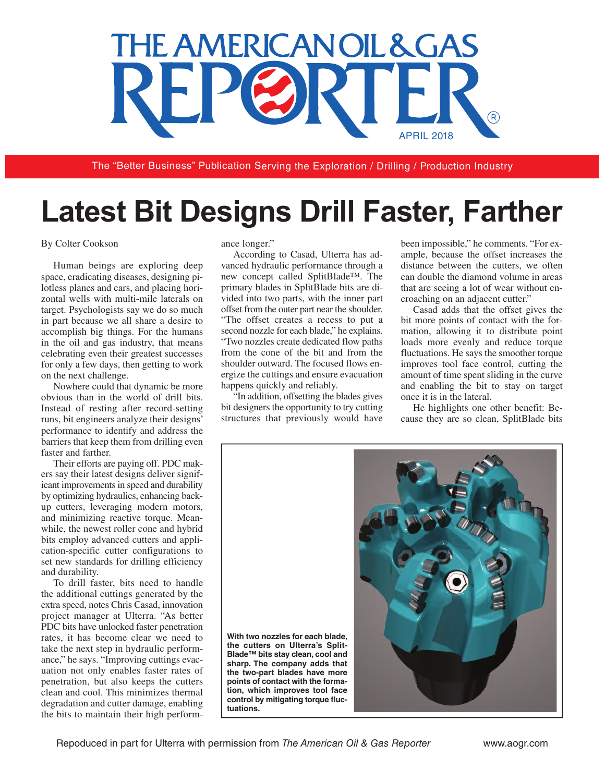## THE AMERICANOIL & GAS APRIL 2018

The "Better Business" Publication Serving the Exploration / Drilling / Production Industry

## **Latest Bit Designs Drill Faster, Farther**

## By Colter Cookson

Human beings are exploring deep space, eradicating diseases, designing pilotless planes and cars, and placing horizontal wells with multi-mile laterals on target. Psychologists say we do so much in part because we all share a desire to accomplish big things. For the humans in the oil and gas industry, that means celebrating even their greatest successes for only a few days, then getting to work on the next challenge.

Nowhere could that dynamic be more obvious than in the world of drill bits. Instead of resting after record-setting runs, bit engineers analyze their designs' performance to identify and address the barriers that keep them from drilling even faster and farther.

Their efforts are paying off. PDC makers say their latest designs deliver significant improvements in speed and durability by optimizing hydraulics, enhancing backup cutters, leveraging modern motors, and minimizing reactive torque. Meanwhile, the newest roller cone and hybrid bits employ advanced cutters and application-specific cutter configurations to set new standards for drilling efficiency and durability.

To drill faster, bits need to handle the additional cuttings generated by the extra speed, notes Chris Casad, innovation project manager at Ulterra. "As better PDC bits have unlocked faster penetration rates, it has become clear we need to take the next step in hydraulic performance," he says. "Improving cuttings evacuation not only enables faster rates of penetration, but also keeps the cutters clean and cool. This minimizes thermal degradation and cutter damage, enabling the bits to maintain their high performance longer."

According to Casad, Ulterra has advanced hydraulic performance through a new concept called SplitBlade™. The primary blades in SplitBlade bits are divided into two parts, with the inner part offset from the outer part near the shoulder. "The offset creates a recess to put a second nozzle for each blade," he explains. "Two nozzles create dedicated flow paths from the cone of the bit and from the shoulder outward. The focused flows energize the cuttings and ensure evacuation happens quickly and reliably.

"In addition, offsetting the blades gives bit designers the opportunity to try cutting structures that previously would have been impossible," he comments. "For example, because the offset increases the distance between the cutters, we often can double the diamond volume in areas that are seeing a lot of wear without encroaching on an adjacent cutter."

Casad adds that the offset gives the bit more points of contact with the formation, allowing it to distribute point loads more evenly and reduce torque fluctuations. He says the smoother torque improves tool face control, cutting the amount of time spent sliding in the curve and enabling the bit to stay on target once it is in the lateral.

He highlights one other benefit: Because they are so clean, SplitBlade bits

**With two nozzles for each blade, the cutters on Ulterra's Split-Blade™ bits stay clean, cool and sharp. The company adds that the two-part blades have more points of contact with the formation, which improves tool face control by mitigating torque fuctuations.**